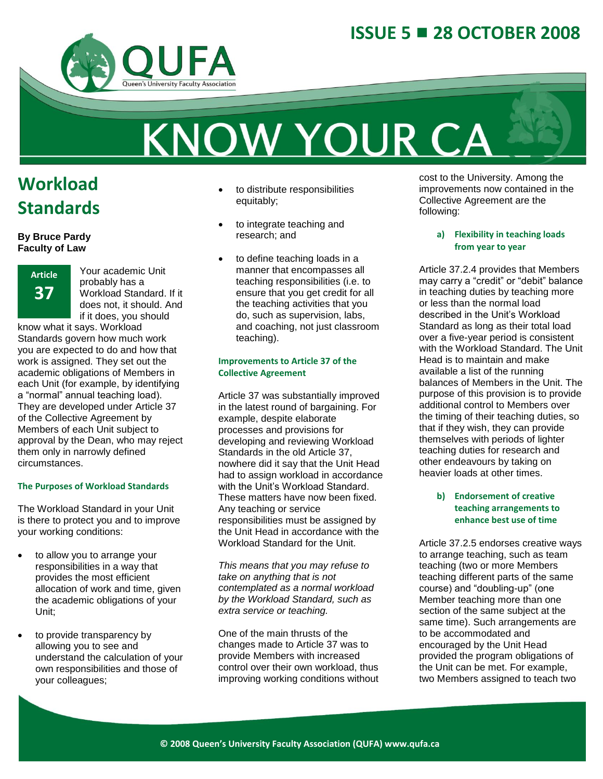### **ISSUE 5** # **28 OCTOBER 2008**



# KNOW YOUR CA

## **Workload Standards**

**By Bruce Pardy Faculty of Law**



Your academic Unit probably has a Workload Standard. If it does not, it should. And if it does, you should

know what it says. Workload Standards govern how much work you are expected to do and how that work is assigned. They set out the academic obligations of Members in each Unit (for example, by identifying a "normal" annual teaching load). They are developed under Article 37 of the Collective Agreement by Members of each Unit subject to approval by the Dean, who may reject them only in narrowly defined circumstances.

#### **The Purposes of Workload Standards**

The Workload Standard in your Unit is there to protect you and to improve your working conditions:

- to allow you to arrange your responsibilities in a way that provides the most efficient allocation of work and time, given the academic obligations of your Unit;
- to provide transparency by allowing you to see and understand the calculation of your own responsibilities and those of your colleagues;
- to distribute responsibilities equitably;
- to integrate teaching and research; and
- to define teaching loads in a manner that encompasses all teaching responsibilities (i.e. to ensure that you get credit for all the teaching activities that you do, such as supervision, labs, and coaching, not just classroom teaching).

#### **Improvements to Article 37 of the Collective Agreement**

Article 37 was substantially improved in the latest round of bargaining. For example, despite elaborate processes and provisions for developing and reviewing Workload Standards in the old Article 37, nowhere did it say that the Unit Head had to assign workload in accordance with the Unit's Workload Standard. These matters have now been fixed. Any teaching or service responsibilities must be assigned by the Unit Head in accordance with the Workload Standard for the Unit.

*This means that you may refuse to take on anything that is not contemplated as a normal workload by the Workload Standard, such as extra service or teaching.*

One of the main thrusts of the changes made to Article 37 was to provide Members with increased control over their own workload, thus improving working conditions without

cost to the University. Among the improvements now contained in the Collective Agreement are the following:

#### **a) Flexibility in teaching loads from year to year**

Article 37.2.4 provides that Members may carry a "credit" or "debit" balance in teaching duties by teaching more or less than the normal load described in the Unit's Workload Standard as long as their total load over a five-year period is consistent with the Workload Standard. The Unit Head is to maintain and make available a list of the running balances of Members in the Unit. The purpose of this provision is to provide additional control to Members over the timing of their teaching duties, so that if they wish, they can provide themselves with periods of lighter teaching duties for research and other endeavours by taking on heavier loads at other times.

#### **b) Endorsement of creative teaching arrangements to enhance best use of time**

Article 37.2.5 endorses creative ways to arrange teaching, such as team teaching (two or more Members teaching different parts of the same course) and "doubling-up" (one Member teaching more than one section of the same subject at the same time). Such arrangements are to be accommodated and encouraged by the Unit Head provided the program obligations of the Unit can be met. For example, two Members assigned to teach two